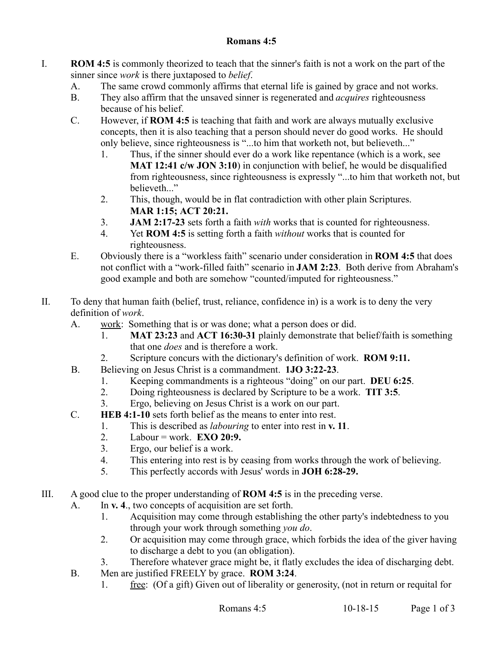## **Romans 4:5**

- I. **ROM 4:5** is commonly theorized to teach that the sinner's faith is not a work on the part of the sinner since *work* is there juxtaposed to *belief*.
	- A. The same crowd commonly affirms that eternal life is gained by grace and not works.
	- B. They also affirm that the unsaved sinner is regenerated and *acquires* righteousness because of his belief.
	- C. However, if **ROM 4:5** is teaching that faith and work are always mutually exclusive concepts, then it is also teaching that a person should never do good works. He should only believe, since righteousness is "...to him that worketh not, but believeth..."
		- 1. Thus, if the sinner should ever do a work like repentance (which is a work, see **MAT 12:41 c/w JON 3:10**) in conjunction with belief, he would be disqualified from righteousness, since righteousness is expressly "...to him that worketh not, but believeth "
		- 2. This, though, would be in flat contradiction with other plain Scriptures. **MAR 1:15; ACT 20:21.**
		- 3. **JAM 2:17-23** sets forth a faith *with* works that is counted for righteousness.
		- 4. Yet **ROM 4:5** is setting forth a faith *without* works that is counted for righteousness.
	- E. Obviously there is a "workless faith" scenario under consideration in **ROM 4:5** that does not conflict with a "work-filled faith" scenario in **JAM 2:23**. Both derive from Abraham's good example and both are somehow "counted/imputed for righteousness."
- II. To deny that human faith (belief, trust, reliance, confidence in) is a work is to deny the very definition of *work*.
	- A. work: Something that is or was done; what a person does or did.
		- 1. **MAT 23:23** and **ACT 16:30-31** plainly demonstrate that belief/faith is something that one *does* and is therefore a work.
		- 2. Scripture concurs with the dictionary's definition of work. **ROM 9:11.**
	- B. Believing on Jesus Christ is a commandment. **1JO 3:22-23**.
		- 1. Keeping commandments is a righteous "doing" on our part. **DEU 6:25**.
		- 2. Doing righteousness is declared by Scripture to be a work. **TIT 3:5**.
		- 3. Ergo, believing on Jesus Christ is a work on our part.
	- C. **HEB 4:1-10** sets forth belief as the means to enter into rest.
		- 1. This is described as *labouring* to enter into rest in **v. 11**.
		- 2. Labour = work. **EXO 20:9.**
		- 3. Ergo, our belief is a work.
		- 4. This entering into rest is by ceasing from works through the work of believing.
		- 5. This perfectly accords with Jesus' words in **JOH 6:28-29.**
- III. A good clue to the proper understanding of **ROM 4:5** is in the preceding verse.
	- A. In **v. 4**., two concepts of acquisition are set forth.
		- 1. Acquisition may come through establishing the other party's indebtedness to you through your work through something *you do*.
		- 2. Or acquisition may come through grace, which forbids the idea of the giver having to discharge a debt to you (an obligation).
		- 3. Therefore whatever grace might be, it flatly excludes the idea of discharging debt.
	- B. Men are justified FREELY by grace. **ROM 3:24**.
		- 1. free: (Of a gift) Given out of liberality or generosity, (not in return or requital for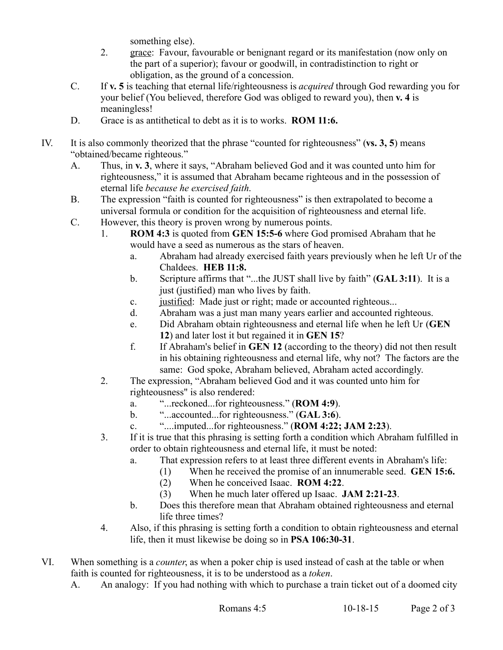something else).

- 2. grace: Favour, favourable or benignant regard or its manifestation (now only on the part of a superior); favour or goodwill, in contradistinction to right or obligation, as the ground of a concession.
- C. If **v. 5** is teaching that eternal life/righteousness is *acquired* through God rewarding you for your belief (You believed, therefore God was obliged to reward you), then **v. 4** is meaningless!
- D. Grace is as antithetical to debt as it is to works. **ROM 11:6.**
- IV. It is also commonly theorized that the phrase "counted for righteousness" (**vs. 3, 5**) means "obtained/became righteous."
	- A. Thus, in **v. 3**, where it says, "Abraham believed God and it was counted unto him for righteousness," it is assumed that Abraham became righteous and in the possession of eternal life *because he exercised faith*.
	- B. The expression "faith is counted for righteousness" is then extrapolated to become a universal formula or condition for the acquisition of righteousness and eternal life.
	- C. However, this theory is proven wrong by numerous points.
		- 1. **ROM 4:3** is quoted from **GEN 15:5-6** where God promised Abraham that he would have a seed as numerous as the stars of heaven.
			- a. Abraham had already exercised faith years previously when he left Ur of the Chaldees. **HEB 11:8.**
			- b. Scripture affirms that "...the JUST shall live by faith" (**GAL 3:11**). It is a just (justified) man who lives by faith.
			- c. justified: Made just or right; made or accounted righteous...
			- d. Abraham was a just man many years earlier and accounted righteous.
			- e. Did Abraham obtain righteousness and eternal life when he left Ur (**GEN 12**) and later lost it but regained it in **GEN 15**?
			- f. If Abraham's belief in **GEN 12** (according to the theory) did not then result in his obtaining righteousness and eternal life, why not? The factors are the same: God spoke, Abraham believed, Abraham acted accordingly.
		- 2. The expression, "Abraham believed God and it was counted unto him for righteousness" is also rendered:
			- a. "...reckoned...for righteousness." (**ROM 4:9**).
			- b. "...accounted...for righteousness." (**GAL 3:6**).
			- c. "....imputed...for righteousness." (**ROM 4:22; JAM 2:23**).
		- 3. If it is true that this phrasing is setting forth a condition which Abraham fulfilled in order to obtain righteousness and eternal life, it must be noted:
			- a. That expression refers to at least three different events in Abraham's life:
				- (1) When he received the promise of an innumerable seed. **GEN 15:6.**
					- (2) When he conceived Isaac. **ROM 4:22**.
					- (3) When he much later offered up Isaac. **JAM 2:21-23**.
			- b. Does this therefore mean that Abraham obtained righteousness and eternal life three times?
		- 4. Also, if this phrasing is setting forth a condition to obtain righteousness and eternal life, then it must likewise be doing so in **PSA 106:30-31**.
- VI. When something is a *counter*, as when a poker chip is used instead of cash at the table or when faith is counted for righteousness, it is to be understood as a *token*.
	- A. An analogy: If you had nothing with which to purchase a train ticket out of a doomed city